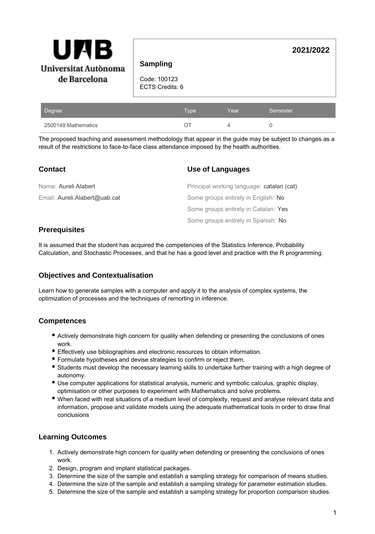| Universitat Autònoma |  |  |  |
|----------------------|--|--|--|
| de Barcelona         |  |  |  |

**2021/2022**

Code: 100123 ECTS Credits: 6

| Degree              | <b>Type</b> | Year | Semester |
|---------------------|-------------|------|----------|
| 2500149 Mathematics |             |      |          |

The proposed teaching and assessment methodology that appear in the guide may be subject to changes as a result of the restrictions to face-to-face class attendance imposed by the health authorities.

| <b>Contact</b>                | Use of Languages                          |
|-------------------------------|-------------------------------------------|
| Name: Aureli Alabert          | Principal working language: catalan (cat) |
| Email: Aureli.Alabert@uab.cat | Some groups entirely in English: No       |
|                               | Some groups entirely in Catalan: Yes      |
|                               | Some groups entirely in Spanish: No       |

## **Prerequisites**

It is assumed that the student has acquired the competencies of the Statistics Inference, Probability Calculation, and Stochastic Processes, and that he has a good level and practice with the R programming.

# **Objectives and Contextualisation**

Learn how to generate samples with a computer and apply it to the analysis of complex systems, the optimization of processes and the techniques of remorting in inference.

### **Competences**

- Actively demonstrate high concern for quality when defending or presenting the conclusions of ones work.
- Effectively use bibliographies and electronic resources to obtain information.
- Formulate hypotheses and devise strategies to confirm or reject them.
- Students must develop the necessary learning skills to undertake further training with a high degree of autonomy.
- Use computer applications for statistical analysis, numeric and symbolic calculus, graphic display, optimisation or other purposes to experiment with Mathematics and solve problems.
- When faced with real situations of a medium level of complexity, request and analyse relevant data and information, propose and validate models using the adequate mathematical tools in order to draw final conclusions

### **Learning Outcomes**

- 1. Actively demonstrate high concern for quality when defending or presenting the conclusions of ones work.
- 2. Design, program and implant statistical packages.
- 3. Determine the size of the sample and establish a sampling strategy for comparison of means studies.
- 4. Determine the size of the sample and establish a sampling strategy for parameter estimation studies.
- 5. Determine the size of the sample and establish a sampling strategy for proportion comparison studies.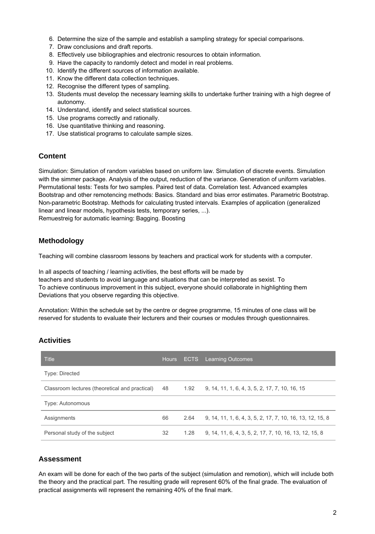- 6. Determine the size of the sample and establish a sampling strategy for special comparisons.
- 7. Draw conclusions and draft reports.
- 8. Effectively use bibliographies and electronic resources to obtain information.
- 9. Have the capacity to randomly detect and model in real problems.
- 10. Identify the different sources of information available.
- 11. Know the different data collection techniques.
- 12. Recognise the different types of sampling.
- 13. Students must develop the necessary learning skills to undertake further training with a high degree of autonomy.
- 14. Understand, identify and select statistical sources.
- 15. Use programs correctly and rationally.
- 16. Use quantitative thinking and reasoning.
- 17. Use statistical programs to calculate sample sizes.

## **Content**

Simulation: Simulation of random variables based on uniform law. Simulation of discrete events. Simulation with the simmer package. Analysis of the output, reduction of the variance. Generation of uniform variables. Permutational tests: Tests for two samples. Paired test of data. Correlation test. Advanced examples Bootstrap and other remotencing methods: Basics. Standard and bias error estimates. Parametric Bootstrap. Non-parametric Bootstrap. Methods for calculating trusted intervals. Examples of application (generalized linear and linear models, hypothesis tests, temporary series, ...). Remuestreig for automatic learning: Bagging. Boosting

# **Methodology**

Teaching will combine classroom lessons by teachers and practical work for students with a computer.

In all aspects of teaching / learning activities, the best efforts will be made by teachers and students to avoid language and situations that can be interpreted as sexist. To To achieve continuous improvement in this subject, everyone should collaborate in highlighting them Deviations that you observe regarding this objective.

Annotation: Within the schedule set by the centre or degree programme, 15 minutes of one class will be reserved for students to evaluate their lecturers and their courses or modules through questionnaires.

# **Activities**

| <b>Title</b>                                   | <b>Hours</b> |      | <b>ECTS</b> Learning Outcomes                             |
|------------------------------------------------|--------------|------|-----------------------------------------------------------|
| Type: Directed                                 |              |      |                                                           |
| Classroom lectures (theoretical and practical) | 48           | 1.92 | 9, 14, 11, 1, 6, 4, 3, 5, 2, 17, 7, 10, 16, 15            |
| Type: Autonomous                               |              |      |                                                           |
| Assignments                                    | 66           | 2.64 | 9, 14, 11, 1, 6, 4, 3, 5, 2, 17, 7, 10, 16, 13, 12, 15, 8 |
| Personal study of the subject                  | 32           | 1.28 | 9, 14, 11, 6, 4, 3, 5, 2, 17, 7, 10, 16, 13, 12, 15, 8    |

# **Assessment**

An exam will be done for each of the two parts of the subject (simulation and remotion), which will include both the theory and the practical part. The resulting grade will represent 60% of the final grade. The evaluation of practical assignments will represent the remaining 40% of the final mark.